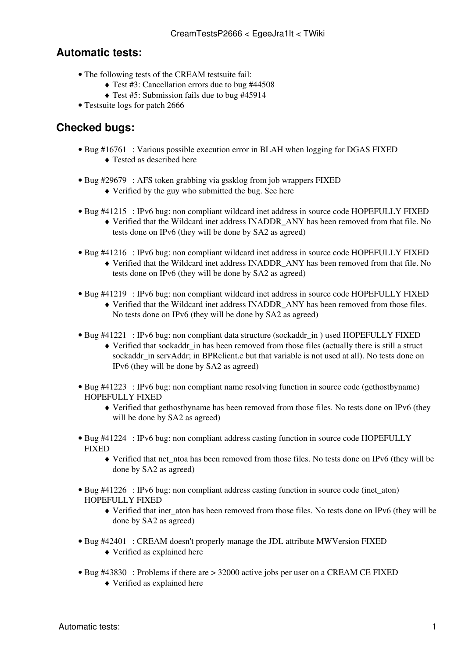## **Automatic tests:**

- The following tests of the CREAM testsuite fail:
	- ♦ Test #3: Cancellation errors due to bug [#44508](https://savannah.cern.ch/bugs/?44508)
	- ♦ Test #5: Submission fails due to bug [#45914](http://savannah.cern.ch/bugs/?45914)
- [Testsuite logs](https://wiki-igi.cnaf.infn.it/twiki/pub/EgeeJra1It/CreamTestsP2666/CREAM-2666.tar.gz) for patch 2666

## **Checked bugs:**

- Bug [#16761](https://savannah.cern.ch/bugs/?16761) : Various possible execution error in BLAH when logging for DGAS FIXED ♦ Tested as described [here](https://savannah.cern.ch/bugs/?16761#comment3)
- Bug [#29679](https://savannah.cern.ch/bugs/?29679) : AFS token grabbing via gssklog from job wrappers FIXED
	- ♦ Verified by the guy who submitted the bug. See [here](https://savannah.cern.ch/bugs/?29679#comment14)
- Bug [#41215](https://savannah.cern.ch/bugs/?41215) : IPv6 bug: non compliant wildcard inet address in source code HOPEFULLY FIXED Verified that the Wildcard inet address INADDR\_ANY has been removed from that file. No ♦ tests done on IPv6 (they will be done by SA2 as agreed)
- Bug [#41216](https://savannah.cern.ch/bugs/?41216) : IPv6 bug: non compliant wildcard inet address in source code HOPEFULLY FIXED
	- Verified that the Wildcard inet address INADDR\_ANY has been removed from that file. No ♦ tests done on IPv6 (they will be done by SA2 as agreed)
- Bug [#41219](https://savannah.cern.ch/bugs/?41219) : IPv6 bug: non compliant wildcard inet address in source code HOPEFULLY FIXED
	- Verified that the Wildcard inet address INADDR\_ANY has been removed from those files. ♦ No tests done on IPv6 (they will be done by SA2 as agreed)
- Bug [#41221](https://savannah.cern.ch/bugs/?41221) : IPv6 bug: non compliant data structure (sockaddr\_in) used HOPEFULLY FIXED
	- Verified that sockaddr\_in has been removed from those files (actually there is still a struct ♦ sockaddr in servAddr; in BPRclient.c but that variable is not used at all). No tests done on IPv6 (they will be done by SA2 as agreed)
- Bug [#41223](https://savannah.cern.ch/bugs/?41223) : IPv6 bug: non compliant name resolving function in source code (gethostbyname) HOPEFULLY FIXED
	- Verified that gethostbyname has been removed from those files. No tests done on IPv6 (they ♦ will be done by SA2 as agreed)
- Bug [#41224](https://savannah.cern.ch/bugs/?41224) : IPv6 bug: non compliant address casting function in source code HOPEFULLY FIXED
	- Verified that net\_ntoa has been removed from those files. No tests done on IPv6 (they will be ♦ done by SA2 as agreed)
- Bug [#41226](https://savannah.cern.ch/bugs/?41226) : IPv6 bug: non compliant address casting function in source code (inet\_aton) HOPEFULLY FIXED
	- Verified that inet\_aton has been removed from those files. No tests done on IPv6 (they will be ♦ done by SA2 as agreed)
- Bug [#42401](https://savannah.cern.ch/bugs/?42401) : CREAM doesn't properly manage the JDL attribute MWVersion FIXED
	- ♦ Verified as explained [here](https://savannah.cern.ch/bugs/?42401#comment3)
- Bug [#43830](https://savannah.cern.ch/bugs/?43830) : Problems if there are > 32000 active jobs per user on a CREAM CE FIXED
	- ♦ Verified as explained [here](https://savannah.cern.ch/bugs/?43830#comment1)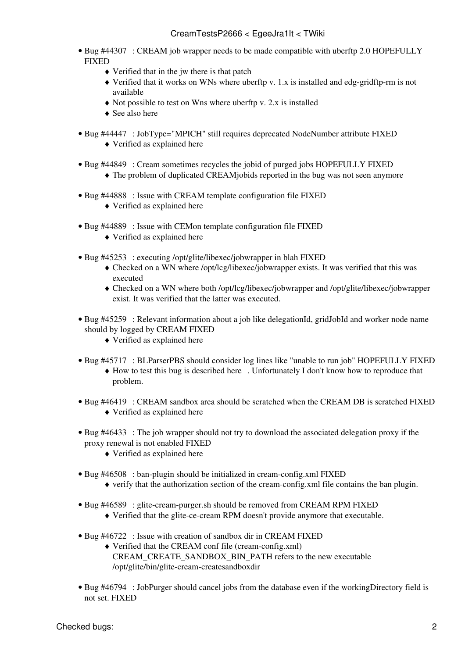- Bug [#44307](https://savannah.cern.ch/bugs/?44307) : CREAM job wrapper needs to be made compatible with uberftp 2.0 HOPEFULLY FIXED
	- ♦ Verified that in the jw there is that patch
	- Verified that it works on WNs where uberftp v. 1.x is installed and edg-gridftp-rm is not ♦ available
	- $\triangle$  Not possible to test on Wns where uberftp v. 2.x is installed
	- ♦ See also [here](https://savannah.cern.ch/bugs/?44307#comment1)
- Bug [#44447](https://savannah.cern.ch/bugs/?44447) : [JobType](https://wiki-igi.cnaf.infn.it/twiki/bin/edit/EgeeJra1It/JobType?topicparent=EgeeJra1It.CreamTestsP2666;nowysiwyg=0)="MPICH" still requires deprecated [NodeNumber](https://wiki-igi.cnaf.infn.it/twiki/bin/edit/EgeeJra1It/NodeNumber?topicparent=EgeeJra1It.CreamTestsP2666;nowysiwyg=0) attribute FIXED ♦ Verified as explained [here](https://savannah.cern.ch/bugs/?44447#comment4)
- Bug [#44849](https://savannah.cern.ch/bugs/?44849) : Cream sometimes recycles the jobid of purged jobs HOPEFULLY FIXED ♦ The problem of duplicated CREAMjobids reported in the bug was not seen anymore
- Bug [#44888](https://savannah.cern.ch/bugs/?43830) : Issue with CREAM template configuration file FIXED
	- ♦ Verified as explained [here](https://savannah.cern.ch/bugs/?44888#comment1)
- Bug [#44889](https://savannah.cern.ch/bugs/?43830) : Issue with CEMon template configuration file FIXED
	- ♦ Verified as explained [here](https://savannah.cern.ch/bugs/?44889#comment1)
- Bug [#45253](https://savannah.cern.ch/bugs/?45253) : executing /opt/glite/libexec/jobwrapper in blah FIXED
	- Checked on a WN where /opt/lcg/libexec/jobwrapper exists. It was verified that this was ♦ executed
	- Checked on a WN where both /opt/lcg/libexec/jobwrapper and /opt/glite/libexec/jobwrapper ♦ exist. It was verified that the latter was executed.
- Bug [#45259](https://savannah.cern.ch/bugs/?45259) : Relevant information about a job like delegationId, gridJobId and worker node name should by logged by CREAM FIXED
	- ♦ Verified as explained [here](https://savannah.cern.ch/bugs/?45259#comment1)
- Bug [#45717](https://savannah.cern.ch/bugs/?45717) : BLParserPBS should consider log lines like "unable to run job" HOPEFULLY FIXED How to test this bug is described [here](https://savannah.cern.ch/bugs/?45717#comment1) . Unfortunately I don't know how to reproduce that ♦ problem.
- Bug [#46419](https://savannah.cern.ch/bugs/?46419) : CREAM sandbox area should be scratched when the CREAM DB is scratched FIXED ♦ Verified as explained [here](https://savannah.cern.ch/bugs/?46419#comment2)
- Bug [#46433](https://savannah.cern.ch/bugs/?46419) : The job wrapper should not try to download the associated delegation proxy if the proxy renewal is not enabled FIXED
	- ♦ Verified as explained [here](https://savannah.cern.ch/bugs/?46433#comment1)
- Bug [#46508](https://savannah.cern.ch/bugs/?46508) : ban-plugin should be initialized in cream-config.xml FIXED
	- $\bullet$  verify that the authorization section of the cream-config.xml file contains the ban plugin.
- Bug [#46589](https://savannah.cern.ch/bugs/?46589) : glite-cream-purger.sh should be removed from CREAM RPM FIXED
	- ♦ Verified that the glite-ce-cream RPM doesn't provide anymore that executable.
- Bug [#46722](https://savannah.cern.ch/bugs/?46722) : Issue with creation of sandbox dir in CREAM FIXED
	- Verified that the CREAM conf file (cream-config.xml) ♦ CREAM\_CREATE\_SANDBOX\_BIN\_PATH refers to the new executable /opt/glite/bin/glite-cream-createsandboxdir
- Bug [#46794](https://savannah.cern.ch/bugs/?46794) : [JobPurger](https://wiki-igi.cnaf.infn.it/twiki/bin/edit/EgeeJra1It/JobPurger?topicparent=EgeeJra1It.CreamTestsP2666;nowysiwyg=0) should cancel jobs from the database even if the workingDirectory field is not set. FIXED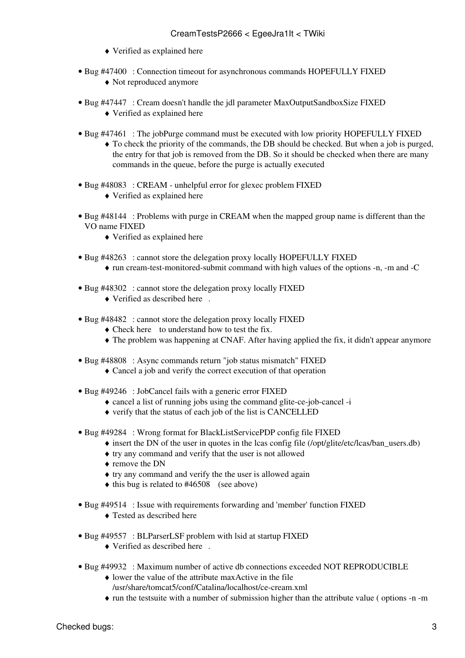- ♦ Verified as explained [here](https://savannah.cern.ch/bugs/?46794#comment2)
- Bug [#47400](https://savannah.cern.ch/bugs/?47400) : Connection timeout for asynchronous commands HOPEFULLY FIXED ♦ Not reproduced anymore
- Bug [#47447](https://savannah.cern.ch/bugs/?47447) : Cream doesn't handle the jdl parameter [MaxOutputSandboxSize](https://wiki-igi.cnaf.infn.it/twiki/bin/edit/EgeeJra1It/MaxOutputSandboxSize?topicparent=EgeeJra1It.CreamTestsP2666;nowysiwyg=0) FIXED
	- ♦ Verified as explained [here](https://savannah.cern.ch/bugs/index.php?47447#comment1)
- Bug [#47461](https://savannah.cern.ch/bugs/?47461) : The jobPurge command must be executed with low priority HOPEFULLY FIXED
	- To check the priority of the commands, the DB should be checked. But when a job is purged, ♦ the entry for that job is removed from the DB. So it should be checked when there are many commands in the queue, before the purge is actually executed
- Bug [#48083](https://savannah.cern.ch/bugs/?48083) : CREAM unhelpful error for glexec problem FIXED
	- ♦ Verified as explained [here](https://savannah.cern.ch/bugs/index.php?48083#comment2)
- Bug [#48144](https://savannah.cern.ch/bugs/?48144) : Problems with purge in CREAM when the mapped group name is different than the VO name FIXED
	- ♦ Verified as explained [here](https://savannah.cern.ch/bugs/index.php?48144#comment1)
- Bug [#48263](https://savannah.cern.ch/bugs/?48263) : cannot store the delegation proxy locally HOPEFULLY FIXED
	- ♦ run cream-test-monitored-submit command with high values of the options -n, -m and -C
- Bug [#48302](https://savannah.cern.ch/bugs/?48302) : cannot store the delegation proxy locally FIXED
	- ♦ Verified as described [here](https://savannah.cern.ch/bugs/index.php?48302#comment3) .
- Bug [#48482](https://savannah.cern.ch/bugs/?48482) : cannot store the delegation proxy locally FIXED
	- ♦ Check [here](https://savannah.cern.ch/bugs/index.php?48482#comment2) to understand how to test the fix.
	- ♦ The problem was happening at CNAF. After having applied the fix, it didn't appear anymore
- Bug [#48808](https://savannah.cern.ch/bugs/?48808) : Async commands return "job status mismatch" FIXED
	- ♦ Cancel a job and verify the correct execution of that operation
- Bug [#49246](https://savannah.cern.ch/bugs/?49246) : JobCancel fails with a generic error FIXED
	- ♦ cancel a list of running jobs using the command glite-ce-job-cancel -i
	- ♦ verify that the status of each job of the list is CANCELLED
- Bug [#49284](https://savannah.cern.ch/bugs/?49284) : Wrong format for [BlackListServicePDP](https://wiki-igi.cnaf.infn.it/twiki/bin/edit/EgeeJra1It/BlackListServicePDP?topicparent=EgeeJra1It.CreamTestsP2666;nowysiwyg=0) config file FIXED
	- $\bullet$  insert the DN of the user in quotes in the lcas config file (/opt/glite/etc/lcas/ban\_users.db)
	- ♦ try any command and verify that the user is not allowed
	- ♦ remove the DN
	- ♦ try any command and verify the the user is allowed again
	- $\triangle$  this bug is related to [#46508](https://savannah.cern.ch/bugs/?46508) (see above)
- Bug [#49514](https://savannah.cern.ch/bugs/?49514) : Issue with requirements forwarding and 'member' function FIXED
	- ♦ Tested as described [here](https://savannah.cern.ch/bugs/?49514#comment2)
- Bug [#49557](https://savannah.cern.ch/bugs/?49557) : BLParserLSF problem with lsid at startup FIXED
	- $\blacklozenge$  Verified as described [here](https://savannah.cern.ch/bugs/?49557#comment1) .
- Bug [#49932](https://savannah.cern.ch/bugs/?49932) : Maximum number of active db connections exceeded NOT REPRODUCIBLE
	- lower the value of the attribute maxActive in the file ♦ /usr/share/tomcat5/conf/Catalina/localhost/ce-cream.xml
	-